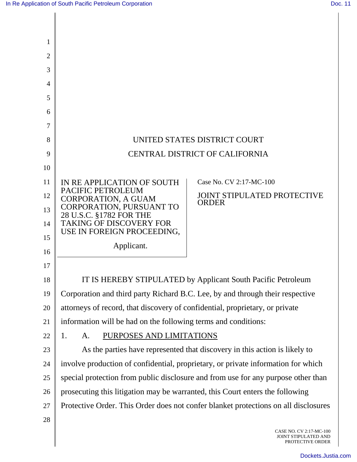Π

| 1  |                                                                                                       |
|----|-------------------------------------------------------------------------------------------------------|
| 2  |                                                                                                       |
| 3  |                                                                                                       |
| 4  |                                                                                                       |
| 5  |                                                                                                       |
| 6  |                                                                                                       |
| 7  |                                                                                                       |
| 8  | UNITED STATES DISTRICT COURT                                                                          |
| 9  | <b>CENTRAL DISTRICT OF CALIFORNIA</b>                                                                 |
| 10 |                                                                                                       |
| 11 | Case No. CV 2:17-MC-100<br>IN RE APPLICATION OF SOUTH                                                 |
| 12 | PACIFIC PETROLEUM<br><b>JOINT STIPULATED PROTECTIVE</b><br><b>CORPORATION, A GUAM</b><br><b>ORDER</b> |
| 13 | CORPORATION, PURSUANT TO<br>28 U.S.C. §1782 FOR THE                                                   |
| 14 | <b>TAKING OF DISCOVERY FOR</b>                                                                        |
| 15 | USE IN FOREIGN PROCEEDING,                                                                            |
| 16 | Applicant.                                                                                            |
| 17 |                                                                                                       |
| 18 | IT IS HEREBY STIPULATED by Applicant South Pacific Petroleum                                          |
| 19 | Corporation and third party Richard B.C. Lee, by and through their respective                         |
| 20 | attorneys of record, that discovery of confidential, proprietary, or private                          |
| 21 | information will be had on the following terms and conditions:                                        |
| 22 | 1.<br>PURPOSES AND LIMITATIONS<br>A.                                                                  |
| 23 | As the parties have represented that discovery in this action is likely to                            |
| 24 | involve production of confidential, proprietary, or private information for which                     |
| 25 | special protection from public disclosure and from use for any purpose other than                     |
| 26 | prosecuting this litigation may be warranted, this Court enters the following                         |
| 27 | Protective Order. This Order does not confer blanket protections on all disclosures                   |
| 28 | CASE NO. CV 2:17-MC-100<br>JOINT STIPULATED AND                                                       |

PROTECTIVE ORDER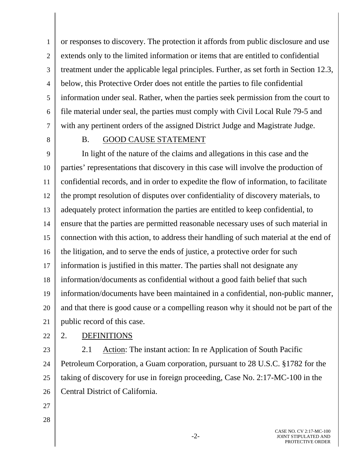1 2 3 4 5 6 7 or responses to discovery. The protection it affords from public disclosure and use extends only to the limited information or items that are entitled to confidential treatment under the applicable legal principles. Further, as set forth in Section 12.3, below, this Protective Order does not entitle the parties to file confidential information under seal. Rather, when the parties seek permission from the court to file material under seal, the parties must comply with Civil Local Rule 79-5 and with any pertinent orders of the assigned District Judge and Magistrate Judge.

8

### B. GOOD CAUSE STATEMENT

9 10 11 12 13 14 15 16 17 18 19 20 21 In light of the nature of the claims and allegations in this case and the parties' representations that discovery in this case will involve the production of confidential records, and in order to expedite the flow of information, to facilitate the prompt resolution of disputes over confidentiality of discovery materials, to adequately protect information the parties are entitled to keep confidential, to ensure that the parties are permitted reasonable necessary uses of such material in connection with this action, to address their handling of such material at the end of the litigation, and to serve the ends of justice, a protective order for such information is justified in this matter. The parties shall not designate any information/documents as confidential without a good faith belief that such information/documents have been maintained in a confidential, non-public manner, and that there is good cause or a compelling reason why it should not be part of the public record of this case.

22

## 2. DEFINITIONS

23 24 25 26 2.1 Action: The instant action: In re Application of South Pacific Petroleum Corporation, a Guam corporation, pursuant to 28 U.S.C. §1782 for the taking of discovery for use in foreign proceeding, Case No. 2:17-MC-100 in the Central District of California.

- 27
- 28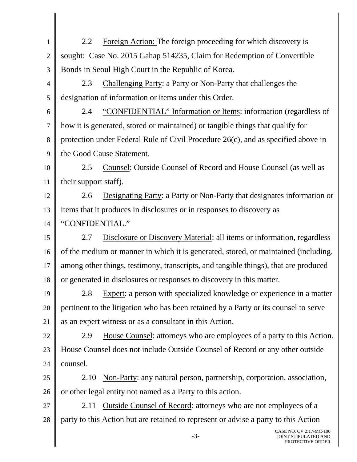1 2 3 4 5 6 7 8 9 10 11 12 13 14 15 16 17 18 19 20 21 22 23 24 25 26 27 28 CASE NO. CV 2:17-MC-100 2.2 Foreign Action: The foreign proceeding for which discovery is sought: Case No. 2015 Gahap 514235, Claim for Redemption of Convertible Bonds in Seoul High Court in the Republic of Korea. 2.3 Challenging Party: a Party or Non-Party that challenges the designation of information or items under this Order. 2.4 "CONFIDENTIAL" Information or Items: information (regardless of how it is generated, stored or maintained) or tangible things that qualify for protection under Federal Rule of Civil Procedure 26(c), and as specified above in the Good Cause Statement. 2.5 Counsel: Outside Counsel of Record and House Counsel (as well as their support staff). 2.6 Designating Party: a Party or Non-Party that designates information or items that it produces in disclosures or in responses to discovery as "CONFIDENTIAL." 2.7 Disclosure or Discovery Material: all items or information, regardless of the medium or manner in which it is generated, stored, or maintained (including, among other things, testimony, transcripts, and tangible things), that are produced or generated in disclosures or responses to discovery in this matter. 2.8 Expert: a person with specialized knowledge or experience in a matter pertinent to the litigation who has been retained by a Party or its counsel to serve as an expert witness or as a consultant in this Action. 2.9 House Counsel: attorneys who are employees of a party to this Action. House Counsel does not include Outside Counsel of Record or any other outside counsel. 2.10 Non-Party: any natural person, partnership, corporation, association, or other legal entity not named as a Party to this action. 2.11 Outside Counsel of Record: attorneys who are not employees of a party to this Action but are retained to represent or advise a party to this Action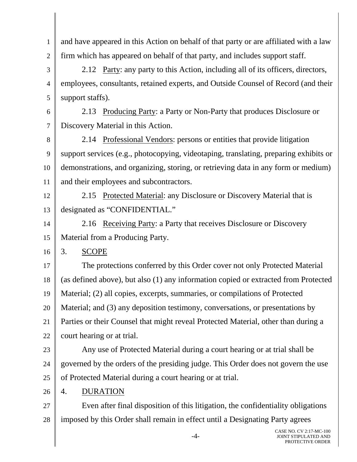and have appeared in this Action on behalf of that party or are affiliated with a law firm which has appeared on behalf of that party, and includes support staff.

3 4 5 2.12 Party: any party to this Action, including all of its officers, directors, employees, consultants, retained experts, and Outside Counsel of Record (and their support staffs).

6 7 2.13 Producing Party: a Party or Non-Party that produces Disclosure or Discovery Material in this Action.

8 9 10 11 2.14 Professional Vendors: persons or entities that provide litigation support services (e.g., photocopying, videotaping, translating, preparing exhibits or demonstrations, and organizing, storing, or retrieving data in any form or medium) and their employees and subcontractors.

12 13 2.15 Protected Material: any Disclosure or Discovery Material that is designated as "CONFIDENTIAL."

14 15 2.16 Receiving Party: a Party that receives Disclosure or Discovery Material from a Producing Party.

16 3. SCOPE

17 18 19 20 21 22 The protections conferred by this Order cover not only Protected Material (as defined above), but also (1) any information copied or extracted from Protected Material; (2) all copies, excerpts, summaries, or compilations of Protected Material; and (3) any deposition testimony, conversations, or presentations by Parties or their Counsel that might reveal Protected Material, other than during a court hearing or at trial.

23

1

2

24 25 Any use of Protected Material during a court hearing or at trial shall be governed by the orders of the presiding judge. This Order does not govern the use of Protected Material during a court hearing or at trial.

26 4. DURATION

27 28 Even after final disposition of this litigation, the confidentiality obligations imposed by this Order shall remain in effect until a Designating Party agrees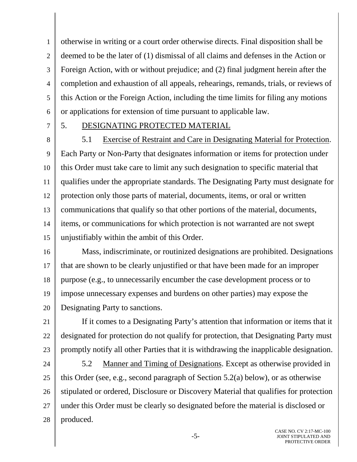1 2 3 4 5 6 otherwise in writing or a court order otherwise directs. Final disposition shall be deemed to be the later of (1) dismissal of all claims and defenses in the Action or Foreign Action, with or without prejudice; and (2) final judgment herein after the completion and exhaustion of all appeals, rehearings, remands, trials, or reviews of this Action or the Foreign Action, including the time limits for filing any motions or applications for extension of time pursuant to applicable law.

7

## 5. DESIGNATING PROTECTED MATERIAL

8 9 10 11 12 13 14 15 5.1 Exercise of Restraint and Care in Designating Material for Protection. Each Party or Non-Party that designates information or items for protection under this Order must take care to limit any such designation to specific material that qualifies under the appropriate standards. The Designating Party must designate for protection only those parts of material, documents, items, or oral or written communications that qualify so that other portions of the material, documents, items, or communications for which protection is not warranted are not swept unjustifiably within the ambit of this Order.

16 17 18 19 20 Mass, indiscriminate, or routinized designations are prohibited. Designations that are shown to be clearly unjustified or that have been made for an improper purpose (e.g., to unnecessarily encumber the case development process or to impose unnecessary expenses and burdens on other parties) may expose the Designating Party to sanctions.

21 22 23 If it comes to a Designating Party's attention that information or items that it designated for protection do not qualify for protection, that Designating Party must promptly notify all other Parties that it is withdrawing the inapplicable designation.

24 25 26 27 28 5.2 Manner and Timing of Designations. Except as otherwise provided in this Order (see, e.g., second paragraph of Section 5.2(a) below), or as otherwise stipulated or ordered, Disclosure or Discovery Material that qualifies for protection under this Order must be clearly so designated before the material is disclosed or produced.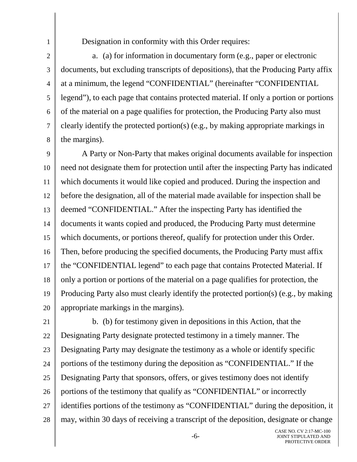Designation in conformity with this Order requires:

1

2

3

4

5

6

7

8

a. (a) for information in documentary form (e.g., paper or electronic documents, but excluding transcripts of depositions), that the Producing Party affix at a minimum, the legend "CONFIDENTIAL" (hereinafter "CONFIDENTIAL legend"), to each page that contains protected material. If only a portion or portions of the material on a page qualifies for protection, the Producing Party also must clearly identify the protected portion(s) (e.g., by making appropriate markings in the margins).

9 10 11 12 13 14 15 16 17 18 19 20 A Party or Non-Party that makes original documents available for inspection need not designate them for protection until after the inspecting Party has indicated which documents it would like copied and produced. During the inspection and before the designation, all of the material made available for inspection shall be deemed "CONFIDENTIAL." After the inspecting Party has identified the documents it wants copied and produced, the Producing Party must determine which documents, or portions thereof, qualify for protection under this Order. Then, before producing the specified documents, the Producing Party must affix the "CONFIDENTIAL legend" to each page that contains Protected Material. If only a portion or portions of the material on a page qualifies for protection, the Producing Party also must clearly identify the protected portion(s) (e.g., by making appropriate markings in the margins).

21 22 23 24 25 26 27 28 b. (b) for testimony given in depositions in this Action, that the Designating Party designate protected testimony in a timely manner. The Designating Party may designate the testimony as a whole or identify specific portions of the testimony during the deposition as "CONFIDENTIAL." If the Designating Party that sponsors, offers, or gives testimony does not identify portions of the testimony that qualify as "CONFIDENTIAL" or incorrectly identifies portions of the testimony as "CONFIDENTIAL" during the deposition, it may, within 30 days of receiving a transcript of the deposition, designate or change

-6-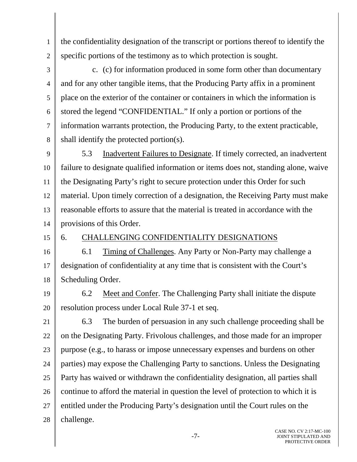the confidentiality designation of the transcript or portions thereof to identify the specific portions of the testimony as to which protection is sought.

3 4 5 6 7 8 c. (c) for information produced in some form other than documentary and for any other tangible items, that the Producing Party affix in a prominent place on the exterior of the container or containers in which the information is stored the legend "CONFIDENTIAL." If only a portion or portions of the information warrants protection, the Producing Party, to the extent practicable, shall identify the protected portion(s).

9 10 11 12 13 14 5.3 Inadvertent Failures to Designate. If timely corrected, an inadvertent failure to designate qualified information or items does not, standing alone, waive the Designating Party's right to secure protection under this Order for such material. Upon timely correction of a designation, the Receiving Party must make reasonable efforts to assure that the material is treated in accordance with the provisions of this Order.

15

1

2

## 6. CHALLENGING CONFIDENTIALITY DESIGNATIONS

16 17 18 6.1 Timing of Challenges. Any Party or Non-Party may challenge a designation of confidentiality at any time that is consistent with the Court's Scheduling Order.

19 20 6.2 Meet and Confer. The Challenging Party shall initiate the dispute resolution process under Local Rule 37-1 et seq.

21 22 23 24 25 26 27 28 6.3 The burden of persuasion in any such challenge proceeding shall be on the Designating Party. Frivolous challenges, and those made for an improper purpose (e.g., to harass or impose unnecessary expenses and burdens on other parties) may expose the Challenging Party to sanctions. Unless the Designating Party has waived or withdrawn the confidentiality designation, all parties shall continue to afford the material in question the level of protection to which it is entitled under the Producing Party's designation until the Court rules on the challenge.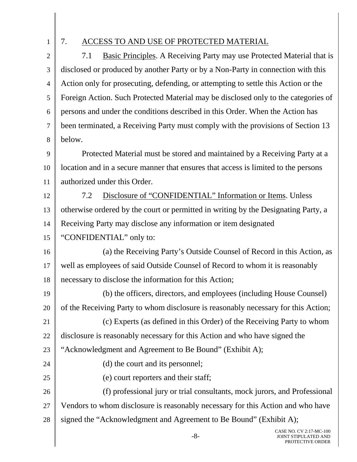1

24

25

# 7. ACCESS TO AND USE OF PROTECTED MATERIAL

2 3 4 5 6 7 8 7.1 Basic Principles. A Receiving Party may use Protected Material that is disclosed or produced by another Party or by a Non-Party in connection with this Action only for prosecuting, defending, or attempting to settle this Action or the Foreign Action. Such Protected Material may be disclosed only to the categories of persons and under the conditions described in this Order. When the Action has been terminated, a Receiving Party must comply with the provisions of Section 13 below.

9 10 11 Protected Material must be stored and maintained by a Receiving Party at a location and in a secure manner that ensures that access is limited to the persons authorized under this Order.

12 13 14 15 7.2 Disclosure of "CONFIDENTIAL" Information or Items. Unless otherwise ordered by the court or permitted in writing by the Designating Party, a Receiving Party may disclose any information or item designated "CONFIDENTIAL" only to:

16 17 18 (a) the Receiving Party's Outside Counsel of Record in this Action, as well as employees of said Outside Counsel of Record to whom it is reasonably necessary to disclose the information for this Action;

19 20 (b) the officers, directors, and employees (including House Counsel) of the Receiving Party to whom disclosure is reasonably necessary for this Action;

21 22 (c) Experts (as defined in this Order) of the Receiving Party to whom disclosure is reasonably necessary for this Action and who have signed the

23 "Acknowledgment and Agreement to Be Bound" (Exhibit A);

(d) the court and its personnel;

(e) court reporters and their staff;

26 27 28 (f) professional jury or trial consultants, mock jurors, and Professional Vendors to whom disclosure is reasonably necessary for this Action and who have signed the "Acknowledgment and Agreement to Be Bound" (Exhibit A);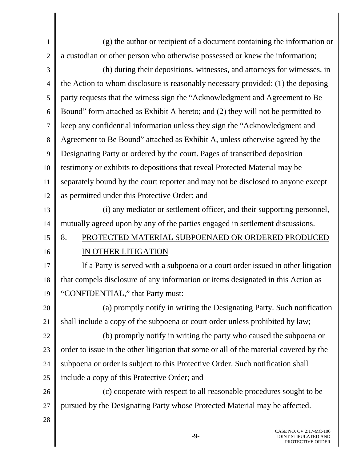1 2 (g) the author or recipient of a document containing the information or a custodian or other person who otherwise possessed or knew the information;

3 4 5 6 7 8 9 10 11 12 (h) during their depositions, witnesses, and attorneys for witnesses, in the Action to whom disclosure is reasonably necessary provided: (1) the deposing party requests that the witness sign the "Acknowledgment and Agreement to Be Bound" form attached as Exhibit A hereto; and (2) they will not be permitted to keep any confidential information unless they sign the "Acknowledgment and Agreement to Be Bound" attached as Exhibit A, unless otherwise agreed by the Designating Party or ordered by the court. Pages of transcribed deposition testimony or exhibits to depositions that reveal Protected Material may be separately bound by the court reporter and may not be disclosed to anyone except as permitted under this Protective Order; and

13 14 (i) any mediator or settlement officer, and their supporting personnel, mutually agreed upon by any of the parties engaged in settlement discussions.

#### 15 16 8. PROTECTED MATERIAL SUBPOENAED OR ORDERED PRODUCED IN OTHER LITIGATION

17 18 19 If a Party is served with a subpoena or a court order issued in other litigation that compels disclosure of any information or items designated in this Action as "CONFIDENTIAL," that Party must:

20 21 (a) promptly notify in writing the Designating Party. Such notification shall include a copy of the subpoena or court order unless prohibited by law;

22 23 24 25 (b) promptly notify in writing the party who caused the subpoena or order to issue in the other litigation that some or all of the material covered by the subpoena or order is subject to this Protective Order. Such notification shall include a copy of this Protective Order; and

26 27 (c) cooperate with respect to all reasonable procedures sought to be pursued by the Designating Party whose Protected Material may be affected.

28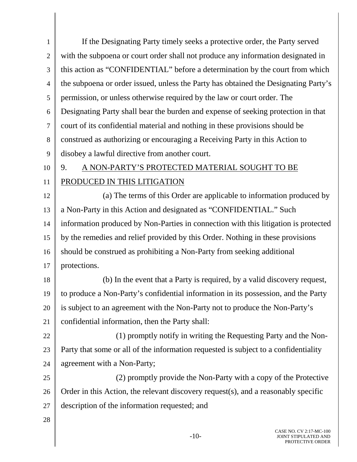1 2 3 4 5 6 7 8 9 10 11 12 13 14 15 16 17 18 19 20 21 22 23 24 25 26 27 28 If the Designating Party timely seeks a protective order, the Party served with the subpoena or court order shall not produce any information designated in this action as "CONFIDENTIAL" before a determination by the court from which the subpoena or order issued, unless the Party has obtained the Designating Party's permission, or unless otherwise required by the law or court order. The Designating Party shall bear the burden and expense of seeking protection in that court of its confidential material and nothing in these provisions should be construed as authorizing or encouraging a Receiving Party in this Action to disobey a lawful directive from another court. 9. A NON-PARTY'S PROTECTED MATERIAL SOUGHT TO BE PRODUCED IN THIS LITIGATION (a) The terms of this Order are applicable to information produced by a Non-Party in this Action and designated as "CONFIDENTIAL." Such information produced by Non-Parties in connection with this litigation is protected by the remedies and relief provided by this Order. Nothing in these provisions should be construed as prohibiting a Non-Party from seeking additional protections. (b) In the event that a Party is required, by a valid discovery request, to produce a Non-Party's confidential information in its possession, and the Party is subject to an agreement with the Non-Party not to produce the Non-Party's confidential information, then the Party shall: (1) promptly notify in writing the Requesting Party and the Non-Party that some or all of the information requested is subject to a confidentiality agreement with a Non-Party; (2) promptly provide the Non-Party with a copy of the Protective Order in this Action, the relevant discovery request(s), and a reasonably specific description of the information requested; and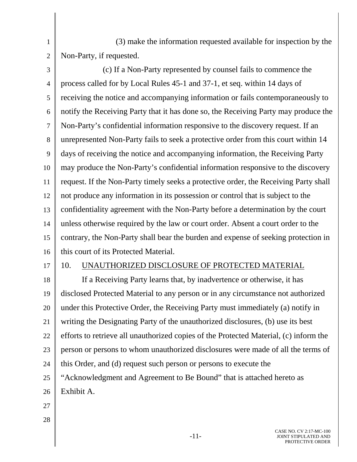(3) make the information requested available for inspection by the Non-Party, if requested.

3 4 5 6 7 8 9 10 11 12 13 14 15 16 (c) If a Non-Party represented by counsel fails to commence the process called for by Local Rules 45-1 and 37-1, et seq. within 14 days of receiving the notice and accompanying information or fails contemporaneously to notify the Receiving Party that it has done so, the Receiving Party may produce the Non-Party's confidential information responsive to the discovery request. If an unrepresented Non-Party fails to seek a protective order from this court within 14 days of receiving the notice and accompanying information, the Receiving Party may produce the Non-Party's confidential information responsive to the discovery request. If the Non-Party timely seeks a protective order, the Receiving Party shall not produce any information in its possession or control that is subject to the confidentiality agreement with the Non-Party before a determination by the court unless otherwise required by the law or court order. Absent a court order to the contrary, the Non-Party shall bear the burden and expense of seeking protection in this court of its Protected Material.

17

1

2

# 10. UNAUTHORIZED DISCLOSURE OF PROTECTED MATERIAL

18 19 20 21 22 23 24 25 26 If a Receiving Party learns that, by inadvertence or otherwise, it has disclosed Protected Material to any person or in any circumstance not authorized under this Protective Order, the Receiving Party must immediately (a) notify in writing the Designating Party of the unauthorized disclosures, (b) use its best efforts to retrieve all unauthorized copies of the Protected Material, (c) inform the person or persons to whom unauthorized disclosures were made of all the terms of this Order, and (d) request such person or persons to execute the "Acknowledgment and Agreement to Be Bound" that is attached hereto as Exhibit A.

- 27
- 28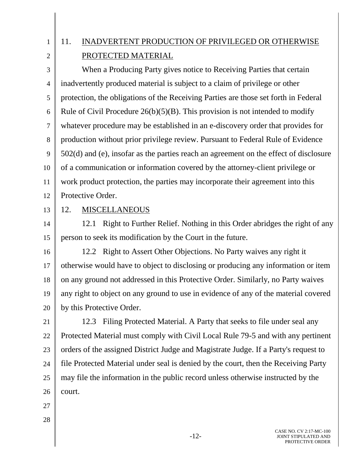1

2

# 11. INADVERTENT PRODUCTION OF PRIVILEGED OR OTHERWISE PROTECTED MATERIAL

3 4 5 6 7 8 9 10 11 12 When a Producing Party gives notice to Receiving Parties that certain inadvertently produced material is subject to a claim of privilege or other protection, the obligations of the Receiving Parties are those set forth in Federal Rule of Civil Procedure  $26(b)(5)(B)$ . This provision is not intended to modify whatever procedure may be established in an e-discovery order that provides for production without prior privilege review. Pursuant to Federal Rule of Evidence 502(d) and (e), insofar as the parties reach an agreement on the effect of disclosure of a communication or information covered by the attorney-client privilege or work product protection, the parties may incorporate their agreement into this Protective Order.

13

# 12. MISCELLANEOUS

14 15 12.1 Right to Further Relief. Nothing in this Order abridges the right of any person to seek its modification by the Court in the future.

16 17 18 19 20 12.2 Right to Assert Other Objections. No Party waives any right it otherwise would have to object to disclosing or producing any information or item on any ground not addressed in this Protective Order. Similarly, no Party waives any right to object on any ground to use in evidence of any of the material covered by this Protective Order.

21 22 23 24 25 26 12.3 Filing Protected Material. A Party that seeks to file under seal any Protected Material must comply with Civil Local Rule 79-5 and with any pertinent orders of the assigned District Judge and Magistrate Judge. If a Party's request to file Protected Material under seal is denied by the court, then the Receiving Party may file the information in the public record unless otherwise instructed by the court.

- 27
- 28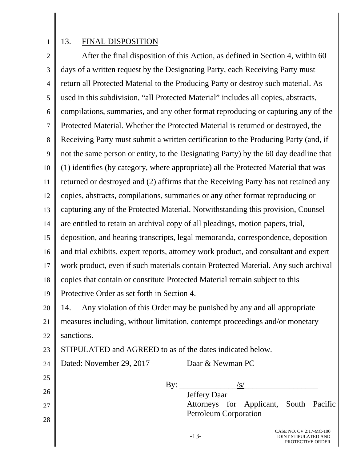1

28

## 13. FINAL DISPOSITION

2 3 4 5 6 7 8 9 10 11 12 13 14 15 16 17 18 19 20 21 22 23 24 25 26 27 After the final disposition of this Action, as defined in Section 4, within 60 days of a written request by the Designating Party, each Receiving Party must return all Protected Material to the Producing Party or destroy such material. As used in this subdivision, "all Protected Material" includes all copies, abstracts, compilations, summaries, and any other format reproducing or capturing any of the Protected Material. Whether the Protected Material is returned or destroyed, the Receiving Party must submit a written certification to the Producing Party (and, if not the same person or entity, to the Designating Party) by the 60 day deadline that (1) identifies (by category, where appropriate) all the Protected Material that was returned or destroyed and (2) affirms that the Receiving Party has not retained any copies, abstracts, compilations, summaries or any other format reproducing or capturing any of the Protected Material. Notwithstanding this provision, Counsel are entitled to retain an archival copy of all pleadings, motion papers, trial, deposition, and hearing transcripts, legal memoranda, correspondence, deposition and trial exhibits, expert reports, attorney work product, and consultant and expert work product, even if such materials contain Protected Material. Any such archival copies that contain or constitute Protected Material remain subject to this Protective Order as set forth in Section 4. 14. Any violation of this Order may be punished by any and all appropriate measures including, without limitation, contempt proceedings and/or monetary sanctions. STIPULATED and AGREED to as of the dates indicated below. Dated: November 29, 2017 Daar & Newman PC  $\text{By:}\_\_\_\_\_S/\$  Jeffery Daar Attorneys for Applicant, South Pacific Petroleum Corporation

-13-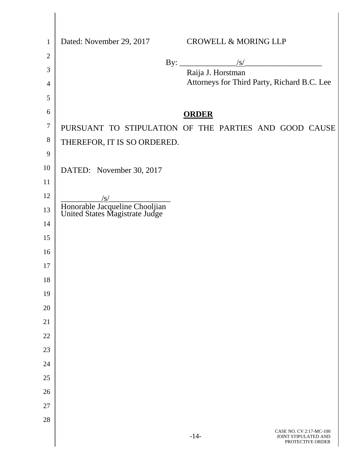| $\mathbf{1}$ | Dated: November 29, 2017<br><b>CROWELL &amp; MORING LLP</b>                   |
|--------------|-------------------------------------------------------------------------------|
| $\mathbf{2}$ |                                                                               |
| 3            | By: $\frac{ s }{\sqrt{ s }}$<br>Raija J. Horstman                             |
| 4            | Attorneys for Third Party, Richard B.C. Lee                                   |
| 5            |                                                                               |
| 6            | <b>ORDER</b>                                                                  |
| $\tau$       | PURSUANT TO STIPULATION OF THE PARTIES AND GOOD CAUSE                         |
| 8            | THEREFOR, IT IS SO ORDERED.                                                   |
| 9            |                                                                               |
| 10           | DATED: November 30, 2017                                                      |
| 11           |                                                                               |
| 12           | $\sqrt{s/2}$                                                                  |
| 13           | Honorable Jacqueline Chooljian<br>United States Magistrate Judge              |
| 14           |                                                                               |
| 15           |                                                                               |
| 16           |                                                                               |
| 17           |                                                                               |
| 18           |                                                                               |
| 19<br>20     |                                                                               |
| 21           |                                                                               |
| 22           |                                                                               |
| 23           |                                                                               |
| 24           |                                                                               |
| 25           |                                                                               |
| 26           |                                                                               |
| 27           |                                                                               |
| 28           |                                                                               |
|              | CASE NO. CV 2:17-MC-100<br>$-14-$<br>JOINT STIPULATED AND<br>PROTECTIVE ORDER |

Ι